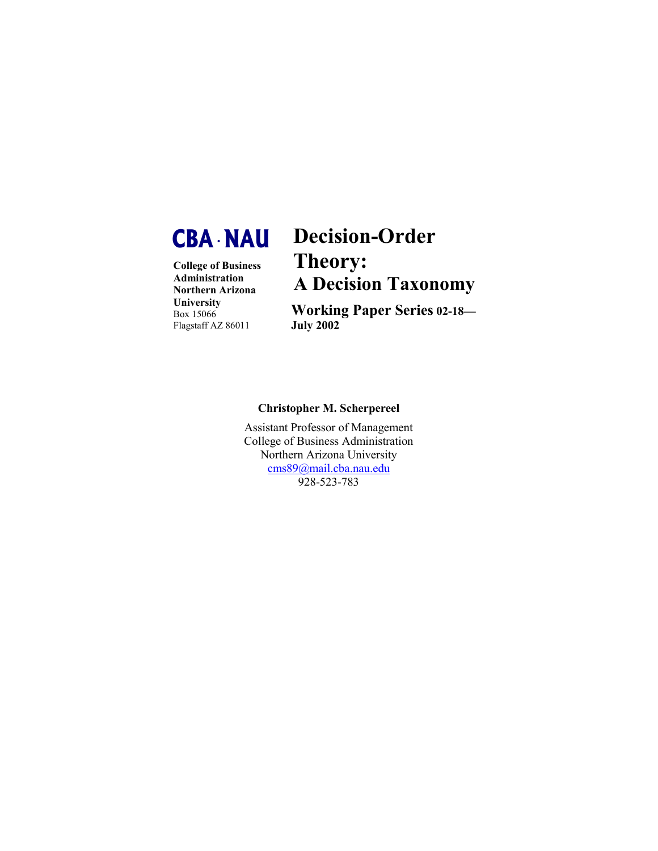

**College of Business Administration Northern Arizona University** Box 15066 Flagstaff AZ 86011

# **Decision-Order Theory: A Decision Taxonomy**

**Working Paper Series 02-18— July 2002**

# **Christopher M. Scherpereel**

Assistant Professor of Management College of Business Administration Northern Arizona University [cms89@mail.cba.nau.edu](mailto:cms89@mail.cba.nau.edu) 928-523-783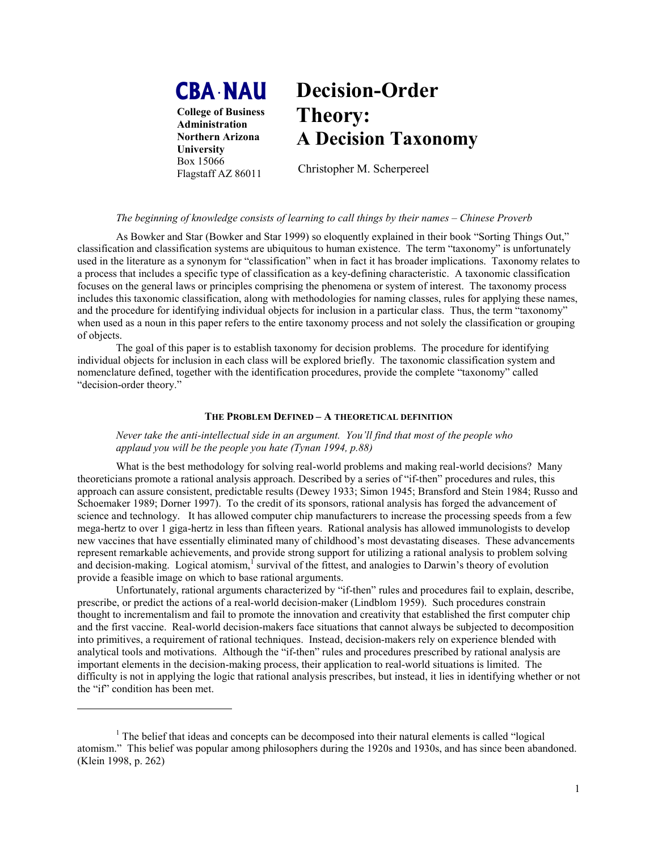# **CBA •NAU**

**College of Business Administration Northern Arizona University**  Box 15066 Flagstaff AZ 86011

 $\overline{a}$ 

# **Decision-Order Theory: A Decision Taxonomy**

Christopher M. Scherpereel

## *The beginning of knowledge consists of learning to call things by their names – Chinese Proverb*

As Bowker and Star (Bowker and Star 1999) so eloquently explained in their book "Sorting Things Out," classification and classification systems are ubiquitous to human existence. The term "taxonomy" is unfortunately used in the literature as a synonym for "classification" when in fact it has broader implications. Taxonomy relates to a process that includes a specific type of classification as a key-defining characteristic. A taxonomic classification focuses on the general laws or principles comprising the phenomena or system of interest. The taxonomy process includes this taxonomic classification, along with methodologies for naming classes, rules for applying these names, and the procedure for identifying individual objects for inclusion in a particular class. Thus, the term "taxonomy" when used as a noun in this paper refers to the entire taxonomy process and not solely the classification or grouping of objects.

The goal of this paper is to establish taxonomy for decision problems. The procedure for identifying individual objects for inclusion in each class will be explored briefly. The taxonomic classification system and nomenclature defined, together with the identification procedures, provide the complete "taxonomy" called "decision-order theory."

#### **THE PROBLEM DEFINED – A THEORETICAL DEFINITION**

*Never take the anti-intellectual side in an argument. You'll find that most of the people who applaud you will be the people you hate (Tynan 1994, p.88)* 

What is the best methodology for solving real-world problems and making real-world decisions? Many theoreticians promote a rational analysis approach. Described by a series of "if-then" procedures and rules, this approach can assure consistent, predictable results (Dewey 1933; Simon 1945; Bransford and Stein 1984; Russo and Schoemaker 1989; Dorner 1997). To the credit of its sponsors, rational analysis has forged the advancement of science and technology. It has allowed computer chip manufacturers to increase the processing speeds from a few mega-hertz to over 1 giga-hertz in less than fifteen years. Rational analysis has allowed immunologists to develop new vaccines that have essentially eliminated many of childhood's most devastating diseases. These advancements represent remarkable achievements, and provide strong support for utilizing a rational analysis to problem solving and decision-making. Logical atomism, <sup>1</sup> survival of the fittest, and analogies to Darwin's theory of evolution provide a feasible image on which to base rational arguments.

Unfortunately, rational arguments characterized by "if-then" rules and procedures fail to explain, describe, prescribe, or predict the actions of a real-world decision-maker (Lindblom 1959). Such procedures constrain thought to incrementalism and fail to promote the innovation and creativity that established the first computer chip and the first vaccine. Real-world decision-makers face situations that cannot always be subjected to decomposition into primitives, a requirement of rational techniques. Instead, decision-makers rely on experience blended with analytical tools and motivations. Although the "if-then" rules and procedures prescribed by rational analysis are important elements in the decision-making process, their application to real-world situations is limited. The difficulty is not in applying the logic that rational analysis prescribes, but instead, it lies in identifying whether or not the "if" condition has been met.

<sup>&</sup>lt;sup>1</sup> The belief that ideas and concepts can be decomposed into their natural elements is called "logical" atomism." This belief was popular among philosophers during the 1920s and 1930s, and has since been abandoned. (Klein 1998, p. 262)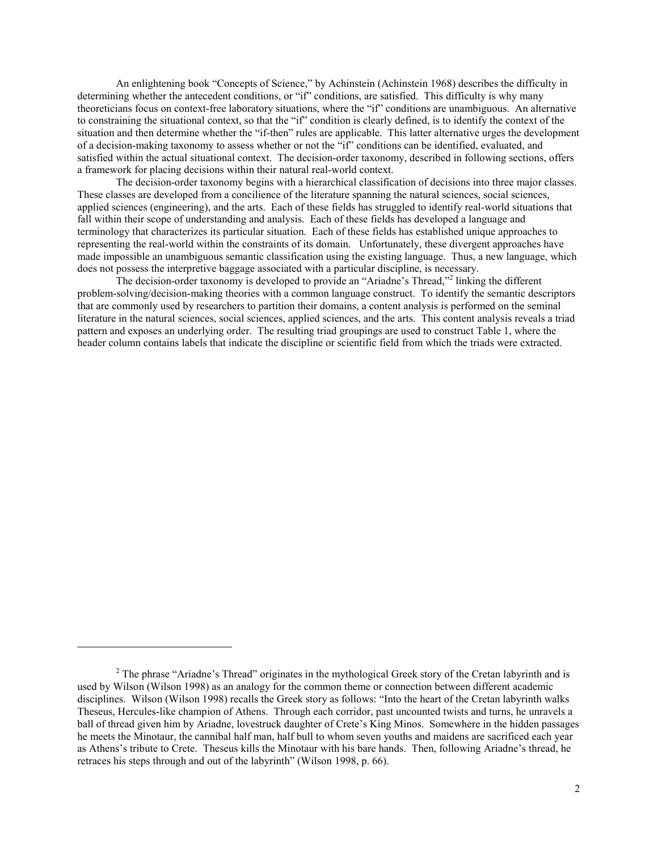An enlightening book "Concepts of Science," by Achinstein (Achinstein 1968) describes the difficulty in determining whether the antecedent conditions, or "if" conditions, are satisfied. This difficulty is why many theoreticians focus on context-free laboratory situations, where the "if" conditions are unambiguous. An alternative to constraining the situational context, so that the "if" condition is clearly defined, is to identify the context of the situation and then determine whether the "if-then" rules are applicable. This latter alternative urges the development of a decision-making taxonomy to assess whether or not the "if" conditions can be identified, evaluated, and satisfied within the actual situational context. The decision-order taxonomy, described in following sections, offers a framework for placing decisions within their natural real-world context.

The decision-order taxonomy begins with a hierarchical classification of decisions into three major classes. These classes are developed from a concilience of the literature spanning the natural sciences, social sciences, applied sciences (engineering), and the arts. Each of these fields has struggled to identify real-world situations that fall within their scope of understanding and analysis. Each of these fields has developed a language and terminology that characterizes its particular situation. Each of these fields has established unique approaches to representing the real-world within the constraints of its domain. Unfortunately, these divergent approaches have made impossible an unambiguous semantic classification using the existing language. Thus, a new language, which does not possess the interpretive baggage associated with a particular discipline, is necessary.

The decision-order taxonomy is developed to provide an "Ariadne's Thread,"<sup>2</sup> linking the different problem-solving/decision-making theories with a common language construct. To identify the semantic descriptors that are commonly used by researchers to partition their domains, a content analysis is performed on the seminal literature in the natural sciences, social sciences, applied sciences, and the arts. This content analysis reveals a triad pattern and exposes an underlying order. The resulting triad groupings are used to construct Table 1, where the header column contains labels that indicate the discipline or scientific field from which the triads were extracted.

<sup>&</sup>lt;sup>2</sup> The phrase "Ariadne's Thread" originates in the mythological Greek story of the Cretan labyrinth and is used by Wilson (Wilson 1998) as an analogy for the common theme or connection between different academic disciplines. Wilson (Wilson 1998) recalls the Greek story as follows: "Into the heart of the Cretan labyrinth walks Theseus, Hercules-like champion of Athens. Through each corridor, past uncounted twists and turns, he unravels a ball of thread given him by Ariadne, lovestruck daughter of Crete's King Minos. Somewhere in the hidden passages he meets the Minotaur, the cannibal half man, half bull to whom seven youths and maidens are sacrificed each year as Athens's tribute to Crete. Theseus kills the Minotaur with his bare hands. Then, following Ariadne's thread, he retraces his steps through and out of the labyrinth" (Wilson 1998, p. 66).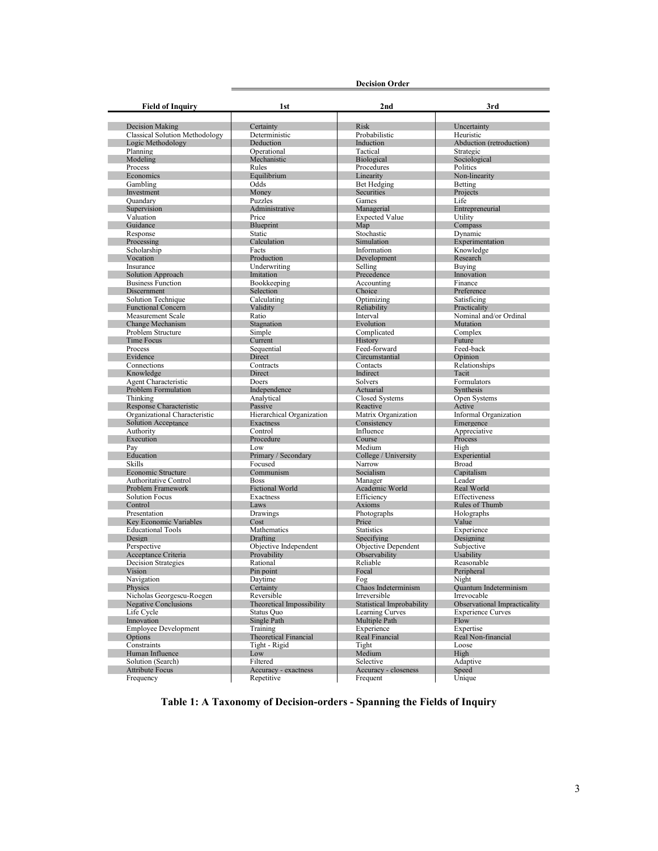| <b>Field of Inquiry</b>                                  | <b>Decision Order</b>                   |                                                  |                                             |
|----------------------------------------------------------|-----------------------------------------|--------------------------------------------------|---------------------------------------------|
|                                                          | 1st                                     | 2nd                                              | 3rd                                         |
|                                                          |                                         |                                                  |                                             |
| <b>Decision Making</b>                                   | Certainty                               | <b>Risk</b>                                      | Uncertainty                                 |
| <b>Classical Solution Methodology</b>                    | Deterministic                           | Probabilistic                                    | Heuristic                                   |
| Logic Methodology                                        | Deduction                               | Induction                                        | Abduction (retroduction)                    |
| Planning                                                 | Operational                             | Tactical                                         | Strategic                                   |
| Modeling                                                 | Mechanistic                             | Biological                                       | Sociological                                |
| Process<br>Economics                                     | Rules<br>Equilibrium                    | Procedures<br>Linearity                          | Politics<br>Non-linearity                   |
| Gambling                                                 | Odds                                    | Bet Hedging                                      | Betting                                     |
| Investment                                               | Money                                   | <b>Securities</b>                                | Projects                                    |
| Ouandary                                                 | <b>Puzzles</b>                          | Games                                            | Life                                        |
| Supervision                                              | Administrative                          | Managerial                                       | Entrepreneurial                             |
| Valuation                                                | Price                                   | <b>Expected Value</b>                            | Utility                                     |
| Guidance                                                 | Blueprint                               | Map                                              | Compass                                     |
| Response                                                 | Static                                  | Stochastic                                       | Dynamic                                     |
| Processing                                               | Calculation                             | Simulation                                       | Experimentation                             |
| Scholarship                                              | Facts                                   | Information                                      | Knowledge                                   |
| Vocation                                                 | Production                              | Development                                      | Research                                    |
| Insurance                                                | Underwriting                            | Selling                                          | Buying                                      |
| Solution Approach<br><b>Business Function</b>            | Imitation                               | Precedence                                       | Innovation<br>Finance                       |
| Discernment                                              | Bookkeeping<br>Selection                | Accounting<br>Choice                             | Preference                                  |
| Solution Technique                                       | Calculating                             | Optimizing                                       | Satisficing                                 |
| <b>Functional Concern</b>                                | Validity                                | Reliability                                      | Practicality                                |
| <b>Measurement Scale</b>                                 | Ratio                                   | Interval                                         | Nominal and/or Ordinal                      |
| Change Mechanism                                         | Stagnation                              | Evolution                                        | Mutation                                    |
| Problem Structure                                        | Simple                                  | Complicated                                      | Complex                                     |
| <b>Time Focus</b>                                        | Current                                 | History                                          | Future                                      |
| Process                                                  | Sequential                              | Feed-forward                                     | Feed-back                                   |
| Evidence                                                 | <b>Direct</b>                           | Circumstantial                                   | Opinion                                     |
| Connections                                              | Contracts                               | Contacts                                         | Relationships                               |
| Knowledge                                                | Direct                                  | Indirect                                         | Tacit                                       |
| <b>Agent Characteristic</b>                              | Doers                                   | Solvers                                          | Formulators                                 |
| <b>Problem Formulation</b>                               | Independence                            | Actuarial                                        | Synthesis                                   |
| Thinking                                                 | Analytical                              | <b>Closed Systems</b>                            | Open Systems                                |
| <b>Response Characteristic</b>                           | Passive                                 | Reactive                                         | Active                                      |
| Organizational Characteristic                            | Hierarchical Organization               | Matrix Organization                              | Informal Organization                       |
| Solution Acceptance                                      | Exactness                               | Consistency                                      | Emergence                                   |
| Authority<br>Execution                                   | Control<br>Procedure                    | Influence<br>Course                              | Appreciative<br>Process                     |
| Pav                                                      | Low                                     | Medium                                           | High                                        |
| Education                                                | Primary / Secondary                     | College / University                             | Experiential                                |
| Skills                                                   | Focused                                 | Narrow                                           | <b>Broad</b>                                |
| <b>Economic Structure</b>                                | Communism                               | Socialism                                        | Capitalism                                  |
| <b>Authoritative Control</b>                             | <b>Boss</b>                             | Manager                                          | Leader                                      |
| Problem Framework                                        | <b>Fictional World</b>                  | Academic World                                   | Real World                                  |
| <b>Solution Focus</b>                                    | Exactness                               | Efficiency                                       | Effectiveness                               |
| Control                                                  | Laws                                    | Axioms                                           | Rules of Thumb                              |
| Presentation                                             | Drawings                                | Photographs                                      | Holographs                                  |
| Key Economic Variables                                   | Cost                                    | Price                                            | Value                                       |
| <b>Educational Tools</b>                                 | Mathematics                             | <b>Statistics</b>                                | Experience                                  |
| Design                                                   | Drafting                                | Specifying                                       | Designing                                   |
| Perspective                                              | Objective Independent                   | <b>Objective Dependent</b>                       | Subjective                                  |
| Acceptance Criteria                                      | Provability                             | Observability                                    | Usability                                   |
| Decision Strategies                                      | Rational                                | Reliable                                         | Reasonable                                  |
| Vision                                                   | Pin point                               | Focal                                            | Peripheral                                  |
| Navigation                                               | Daytime                                 | Fog                                              | Night                                       |
| Physics                                                  | Certainty                               | Chaos Indeterminism                              | <b>Ouantum Indeterminism</b>                |
| Nicholas Georgescu-Roegen<br><b>Negative Conclusions</b> | Reversible<br>Theoretical Impossibility | Irreversible<br><b>Statistical Improbability</b> | Irrevocable<br>Observational Impracticality |
| Life Cycle                                               | Status Quo                              | Learning Curves                                  | <b>Experience Curves</b>                    |
| Innovation                                               | Single Path                             | Multiple Path                                    | Flow                                        |
| <b>Employee Development</b>                              | Training                                | Experience                                       | Expertise                                   |
| Options                                                  | <b>Theoretical Financial</b>            | Real Financial                                   | Real Non-financial                          |
| Constraints                                              | Tight - Rigid                           | Tight                                            | Loose                                       |
| Human Influence                                          | Low                                     | Medium                                           | High                                        |
| Solution (Search)                                        | Filtered                                | Selective                                        | Adaptive                                    |
| <b>Attribute Focus</b>                                   | Accuracy - exactness                    | Accuracy - closeness                             | Speed                                       |
| Frequency                                                | Repetitive                              | Frequent                                         | Unique                                      |
|                                                          |                                         |                                                  |                                             |

**Table 1: A Taxonomy of Decision-orders - Spanning the Fields of Inquiry**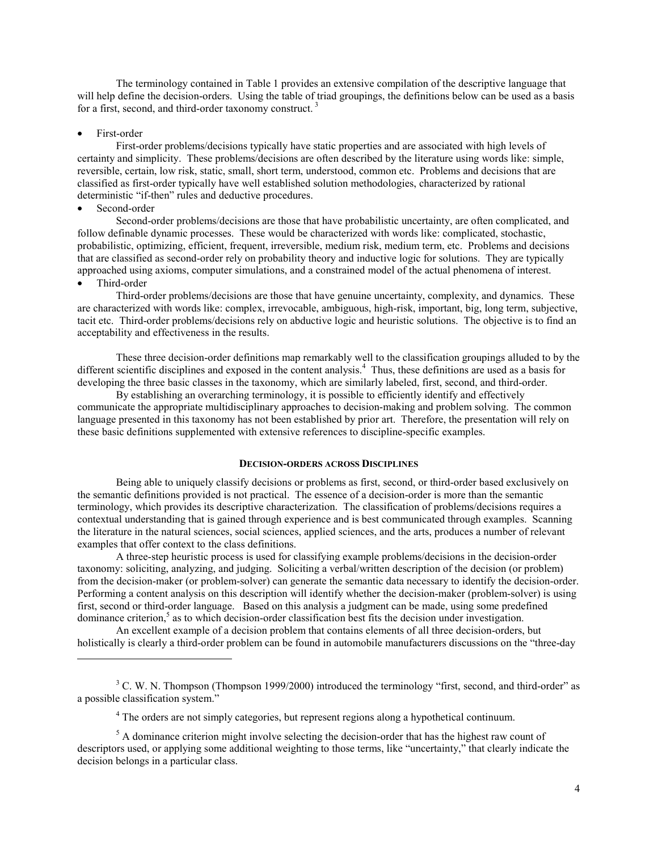The terminology contained in Table 1 provides an extensive compilation of the descriptive language that will help define the decision-orders. Using the table of triad groupings, the definitions below can be used as a basis for a first, second, and third-order taxonomy construct. 3

#### First-order

First-order problems/decisions typically have static properties and are associated with high levels of certainty and simplicity. These problems/decisions are often described by the literature using words like: simple, reversible, certain, low risk, static, small, short term, understood, common etc. Problems and decisions that are classified as first-order typically have well established solution methodologies, characterized by rational deterministic "if-then" rules and deductive procedures.

### Second-order

 $\overline{a}$ 

Second-order problems/decisions are those that have probabilistic uncertainty, are often complicated, and follow definable dynamic processes. These would be characterized with words like: complicated, stochastic, probabilistic, optimizing, efficient, frequent, irreversible, medium risk, medium term, etc. Problems and decisions that are classified as second-order rely on probability theory and inductive logic for solutions. They are typically approached using axioms, computer simulations, and a constrained model of the actual phenomena of interest. • Third-order

Third-order problems/decisions are those that have genuine uncertainty, complexity, and dynamics. These are characterized with words like: complex, irrevocable, ambiguous, high-risk, important, big, long term, subjective, tacit etc. Third-order problems/decisions rely on abductive logic and heuristic solutions. The objective is to find an acceptability and effectiveness in the results.

These three decision-order definitions map remarkably well to the classification groupings alluded to by the different scientific disciplines and exposed in the content analysis.<sup>4</sup> Thus, these definitions are used as a basis for developing the three basic classes in the taxonomy, which are similarly labeled, first, second, and third-order.

By establishing an overarching terminology, it is possible to efficiently identify and effectively communicate the appropriate multidisciplinary approaches to decision-making and problem solving. The common language presented in this taxonomy has not been established by prior art. Therefore, the presentation will rely on these basic definitions supplemented with extensive references to discipline-specific examples.

#### **DECISION-ORDERS ACROSS DISCIPLINES**

Being able to uniquely classify decisions or problems as first, second, or third-order based exclusively on the semantic definitions provided is not practical. The essence of a decision-order is more than the semantic terminology, which provides its descriptive characterization. The classification of problems/decisions requires a contextual understanding that is gained through experience and is best communicated through examples. Scanning the literature in the natural sciences, social sciences, applied sciences, and the arts, produces a number of relevant examples that offer context to the class definitions.

A three-step heuristic process is used for classifying example problems/decisions in the decision-order taxonomy: soliciting, analyzing, and judging. Soliciting a verbal/written description of the decision (or problem) from the decision-maker (or problem-solver) can generate the semantic data necessary to identify the decision-order. Performing a content analysis on this description will identify whether the decision-maker (problem-solver) is using first, second or third-order language. Based on this analysis a judgment can be made, using some predefined dominance criterion,<sup>5</sup> as to which decision-order classification best fits the decision under investigation.

An excellent example of a decision problem that contains elements of all three decision-orders, but holistically is clearly a third-order problem can be found in automobile manufacturers discussions on the "three-day

 $3$  C. W. N. Thompson (Thompson 1999/2000) introduced the terminology "first, second, and third-order" as a possible classification system."

<sup>&</sup>lt;sup>4</sup> The orders are not simply categories, but represent regions along a hypothetical continuum.

 $<sup>5</sup>$  A dominance criterion might involve selecting the decision-order that has the highest raw count of</sup> descriptors used, or applying some additional weighting to those terms, like "uncertainty," that clearly indicate the decision belongs in a particular class.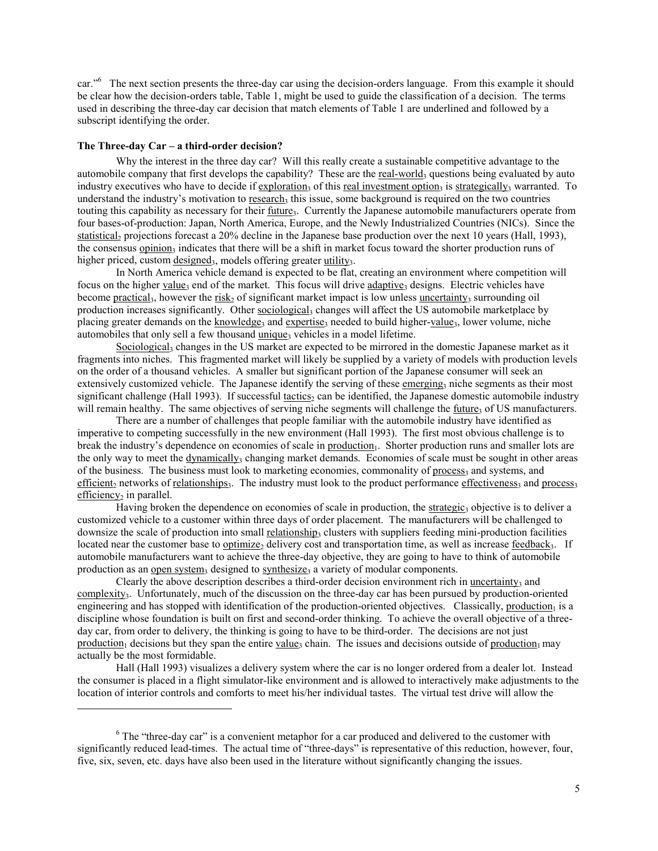car."<sup>6</sup> The next section presents the three-day car using the decision-orders language. From this example it should be clear how the decision-orders table, Table 1, might be used to guide the classification of a decision. The terms used in describing the three-day car decision that match elements of Table 1 are underlined and followed by a subscript identifying the order.

#### **The Three-day Car – a third-order decision?**

 $\overline{a}$ 

Why the interest in the three day car? Will this really create a sustainable competitive advantage to the automobile company that first develops the capability? These are the real-world<sub>3</sub> questions being evaluated by auto industry executives who have to decide if exploration<sub>3</sub> of this real investment option<sub>3</sub> is strategically<sub>3</sub> warranted. To understand the industry's motivation to research, this issue, some background is required on the two countries touting this capability as necessary for their <u>future</u><sub>3</sub>. Currently the Japanese automobile manufacturers operate from four bases-of-production: Japan, North America, Europe, and the Newly Industrialized Countries (NICs). Since the statistical<sub>2</sub> projections forecast a 20% decline in the Japanese base production over the next 10 years (Hall, 1993), the consensus opinion<sub>3</sub> indicates that there will be a shift in market focus toward the shorter production runs of higher priced, custom designed<sub>3</sub>, models offering greater utility<sub>3</sub>.

In North America vehicle demand is expected to be flat, creating an environment where competition will focus on the higher value<sub>3</sub> end of the market. This focus will drive adaptive<sub>3</sub> designs. Electric vehicles have become practical<sub>3</sub>, however the risk<sub>2</sub> of significant market impact is low unless uncertainty<sub>3</sub> surrounding oil production increases significantly. Other sociological<sub>3</sub> changes will affect the US automobile marketplace by placing greater demands on the knowledge<sub>3</sub> and expertise<sub>3</sub> needed to build higher-value<sub>3</sub>, lower volume, niche automobiles that only sell a few thousand unique, vehicles in a model lifetime.

Sociological<sub>3</sub> changes in the US market are expected to be mirrored in the domestic Japanese market as it fragments into niches. This fragmented market will likely be supplied by a variety of models with production levels on the order of a thousand vehicles. A smaller but significant portion of the Japanese consumer will seek an extensively customized vehicle. The Japanese identify the serving of these emerging3 niche segments as their most significant challenge (Hall 1993). If successful tactics<sub>2</sub> can be identified, the Japanese domestic automobile industry will remain healthy. The same objectives of serving niche segments will challenge the  $f$ uture $3$  of US manufacturers.

There are a number of challenges that people familiar with the automobile industry have identified as imperative to competing successfully in the new environment (Hall 1993). The first most obvious challenge is to break the industry's dependence on economies of scale in production<sub>1</sub>. Shorter production runs and smaller lots are the only way to meet the dynamically<sub>3</sub> changing market demands. Economies of scale must be sought in other areas of the business. The business must look to marketing economies, commonality of process, and systems, and efficient, networks of relationships<sub>3</sub>. The industry must look to the product performance effectiveness<sub>3</sub> and process<sub>3</sub> efficiency<sub>2</sub> in parallel.

Having broken the dependence on economies of scale in production, the strategic<sub>3</sub> objective is to deliver a customized vehicle to a customer within three days of order placement. The manufacturers will be challenged to downsize the scale of production into small relationship3 clusters with suppliers feeding mini-production facilities located near the customer base to optimize, delivery cost and transportation time, as well as increase feedback<sub>3</sub>. If automobile manufacturers want to achieve the three-day objective, they are going to have to think of automobile production as an open system<sub>3</sub> designed to synthesize<sub>3</sub> a variety of modular components.

Clearly the above description describes a third-order decision environment rich in uncertainty, and complexity<sub>3</sub>. Unfortunately, much of the discussion on the three-day car has been pursued by production-oriented engineering and has stopped with identification of the production-oriented objectives. Classically, production $<sub>1</sub>$  is a</sub> discipline whose foundation is built on first and second-order thinking. To achieve the overall objective of a threeday car, from order to delivery, the thinking is going to have to be third-order. The decisions are not just production<sub>1</sub> decisions but they span the entire value<sub>3</sub> chain. The issues and decisions outside of production<sub>1</sub> may actually be the most formidable.

Hall (Hall 1993) visualizes a delivery system where the car is no longer ordered from a dealer lot. Instead the consumer is placed in a flight simulator-like environment and is allowed to interactively make adjustments to the location of interior controls and comforts to meet his/her individual tastes. The virtual test drive will allow the

 $6$  The "three-day car" is a convenient metaphor for a car produced and delivered to the customer with significantly reduced lead-times. The actual time of "three-days" is representative of this reduction, however, four, five, six, seven, etc. days have also been used in the literature without significantly changing the issues.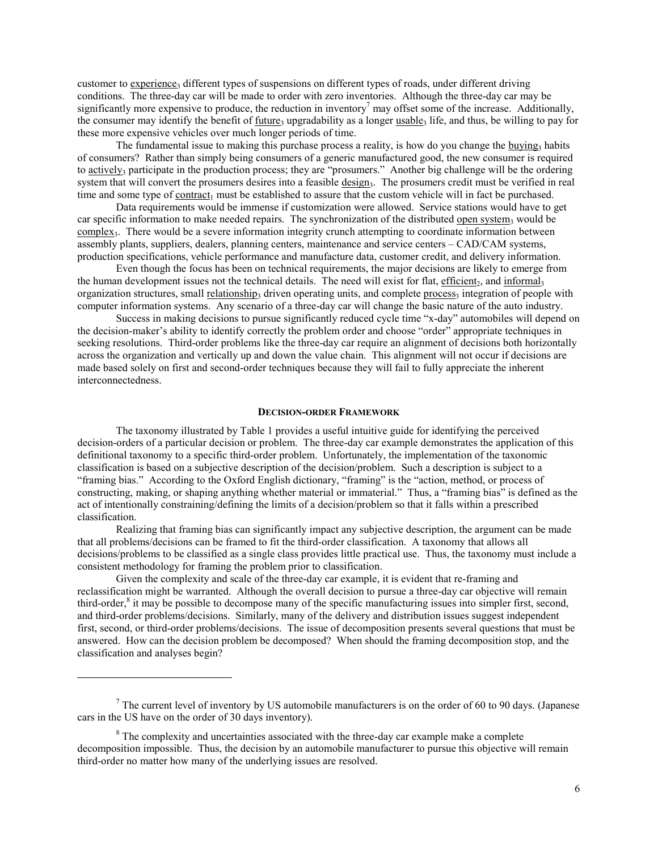customer to experience3 different types of suspensions on different types of roads, under different driving conditions. The three-day car will be made to order with zero inventories. Although the three-day car may be significantly more expensive to produce, the reduction in inventory<sup>7</sup> may offset some of the increase. Additionally, the consumer may identify the benefit of future, upgradability as a longer usable, life, and thus, be willing to pay for these more expensive vehicles over much longer periods of time.

The fundamental issue to making this purchase process a reality, is how do you change the buying, habits of consumers? Rather than simply being consumers of a generic manufactured good, the new consumer is required to actively<sub>3</sub> participate in the production process; they are "prosumers." Another big challenge will be the ordering system that will convert the prosumers desires into a feasible  $\frac{design_3}{}$ . The prosumers credit must be verified in real time and some type of contract<sub>1</sub> must be established to assure that the custom vehicle will in fact be purchased.

Data requirements would be immense if customization were allowed. Service stations would have to get car specific information to make needed repairs. The synchronization of the distributed open system, would be complex<sub>3</sub>. There would be a severe information integrity crunch attempting to coordinate information between assembly plants, suppliers, dealers, planning centers, maintenance and service centers – CAD/CAM systems, production specifications, vehicle performance and manufacture data, customer credit, and delivery information.

Even though the focus has been on technical requirements, the major decisions are likely to emerge from the human development issues not the technical details. The need will exist for flat, efficient, and informal, organization structures, small relationship, driven operating units, and complete process, integration of people with computer information systems. Any scenario of a three-day car will change the basic nature of the auto industry.

Success in making decisions to pursue significantly reduced cycle time "x-day" automobiles will depend on the decision-maker's ability to identify correctly the problem order and choose "order" appropriate techniques in seeking resolutions. Third-order problems like the three-day car require an alignment of decisions both horizontally across the organization and vertically up and down the value chain. This alignment will not occur if decisions are made based solely on first and second-order techniques because they will fail to fully appreciate the inherent interconnectedness.

### **DECISION-ORDER FRAMEWORK**

The taxonomy illustrated by Table 1 provides a useful intuitive guide for identifying the perceived decision-orders of a particular decision or problem. The three-day car example demonstrates the application of this definitional taxonomy to a specific third-order problem. Unfortunately, the implementation of the taxonomic classification is based on a subjective description of the decision/problem. Such a description is subject to a "framing bias." According to the Oxford English dictionary, "framing" is the "action, method, or process of constructing, making, or shaping anything whether material or immaterial." Thus, a "framing bias" is defined as the act of intentionally constraining/defining the limits of a decision/problem so that it falls within a prescribed classification.

Realizing that framing bias can significantly impact any subjective description, the argument can be made that all problems/decisions can be framed to fit the third-order classification. A taxonomy that allows all decisions/problems to be classified as a single class provides little practical use. Thus, the taxonomy must include a consistent methodology for framing the problem prior to classification.

Given the complexity and scale of the three-day car example, it is evident that re-framing and reclassification might be warranted. Although the overall decision to pursue a three-day car objective will remain third-order, $\delta$  it may be possible to decompose many of the specific manufacturing issues into simpler first, second, and third-order problems/decisions. Similarly, many of the delivery and distribution issues suggest independent first, second, or third-order problems/decisions. The issue of decomposition presents several questions that must be answered. How can the decision problem be decomposed? When should the framing decomposition stop, and the classification and analyses begin?

<sup>&</sup>lt;sup>7</sup> The current level of inventory by US automobile manufacturers is on the order of 60 to 90 days. (Japanese cars in the US have on the order of 30 days inventory).

 $8$  The complexity and uncertainties associated with the three-day car example make a complete decomposition impossible. Thus, the decision by an automobile manufacturer to pursue this objective will remain third-order no matter how many of the underlying issues are resolved.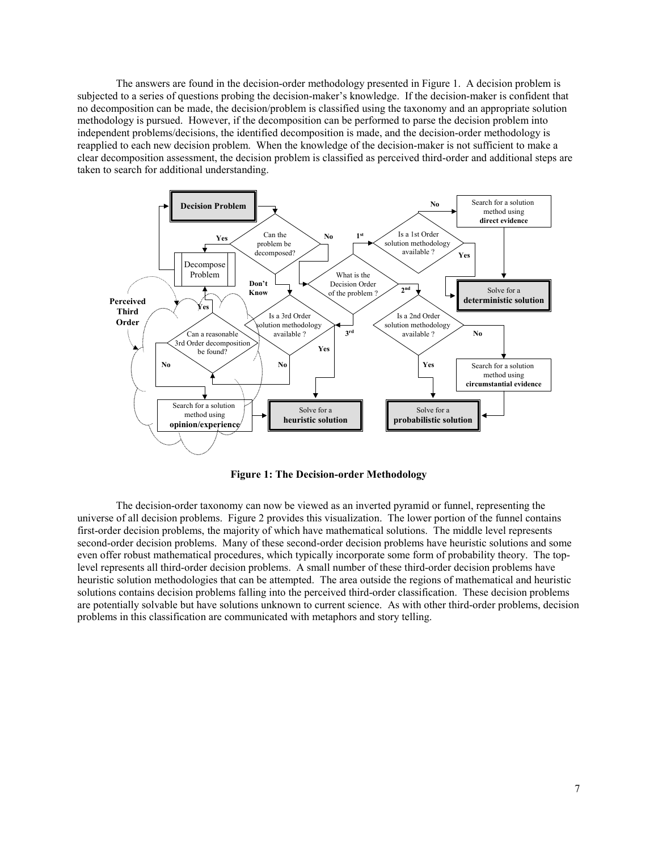The answers are found in the decision-order methodology presented in Figure 1. A decision problem is subjected to a series of questions probing the decision-maker's knowledge. If the decision-maker is confident that no decomposition can be made, the decision/problem is classified using the taxonomy and an appropriate solution methodology is pursued. However, if the decomposition can be performed to parse the decision problem into independent problems/decisions, the identified decomposition is made, and the decision-order methodology is reapplied to each new decision problem. When the knowledge of the decision-maker is not sufficient to make a clear decomposition assessment, the decision problem is classified as perceived third-order and additional steps are taken to search for additional understanding.



**Figure 1: The Decision-order Methodology** 

The decision-order taxonomy can now be viewed as an inverted pyramid or funnel, representing the universe of all decision problems. Figure 2 provides this visualization. The lower portion of the funnel contains first-order decision problems, the majority of which have mathematical solutions. The middle level represents second-order decision problems. Many of these second-order decision problems have heuristic solutions and some even offer robust mathematical procedures, which typically incorporate some form of probability theory. The toplevel represents all third-order decision problems. A small number of these third-order decision problems have heuristic solution methodologies that can be attempted. The area outside the regions of mathematical and heuristic solutions contains decision problems falling into the perceived third-order classification. These decision problems are potentially solvable but have solutions unknown to current science. As with other third-order problems, decision problems in this classification are communicated with metaphors and story telling.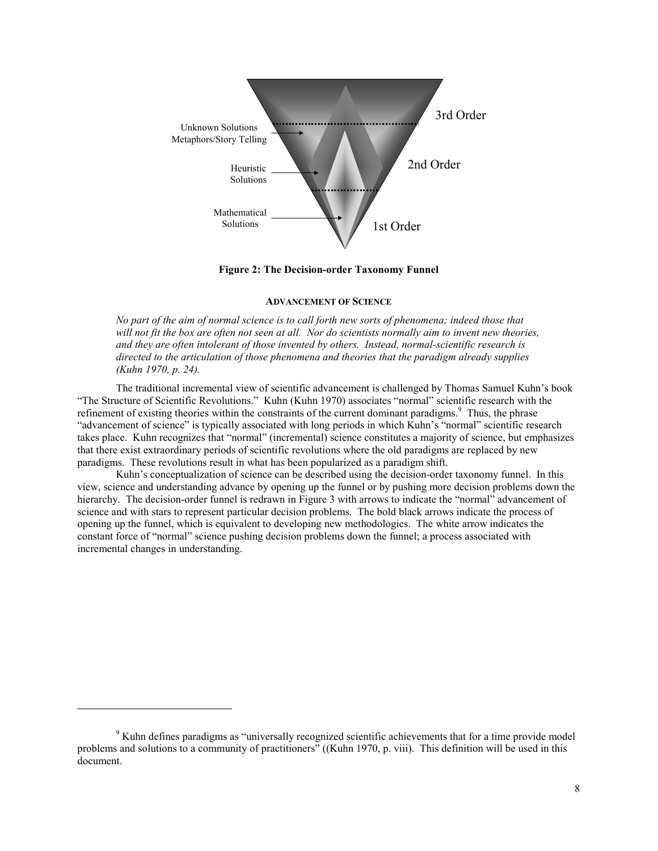

**Figure 2: The Decision-order Taxonomy Funnel** 

# **ADVANCEMENT OF SCIENCE**

*No part of the aim of normal science is to call forth new sorts of phenomena; indeed those that will not fit the box are often not seen at all. Nor do scientists normally aim to invent new theories, and they are often intolerant of those invented by others. Instead, normal-scientific research is directed to the articulation of those phenomena and theories that the paradigm already supplies (Kuhn 1970, p. 24).* 

The traditional incremental view of scientific advancement is challenged by Thomas Samuel Kuhn's book "The Structure of Scientific Revolutions." Kuhn (Kuhn 1970) associates "normal" scientific research with the refinement of existing theories within the constraints of the current dominant paradigms.<sup>9</sup> Thus, the phrase "advancement of science" is typically associated with long periods in which Kuhn's "normal" scientific research takes place. Kuhn recognizes that "normal" (incremental) science constitutes a majority of science, but emphasizes that there exist extraordinary periods of scientific revolutions where the old paradigms are replaced by new paradigms. These revolutions result in what has been popularized as a paradigm shift.

Kuhn's conceptualization of science can be described using the decision-order taxonomy funnel. In this view, science and understanding advance by opening up the funnel or by pushing more decision problems down the hierarchy. The decision-order funnel is redrawn in Figure 3 with arrows to indicate the "normal" advancement of science and with stars to represent particular decision problems. The bold black arrows indicate the process of opening up the funnel, which is equivalent to developing new methodologies. The white arrow indicates the constant force of "normal" science pushing decision problems down the funnel; a process associated with incremental changes in understanding.

<sup>&</sup>lt;sup>9</sup> Kuhn defines paradigms as "universally recognized scientific achievements that for a time provide model problems and solutions to a community of practitioners" ((Kuhn 1970, p. viii). This definition will be used in this document.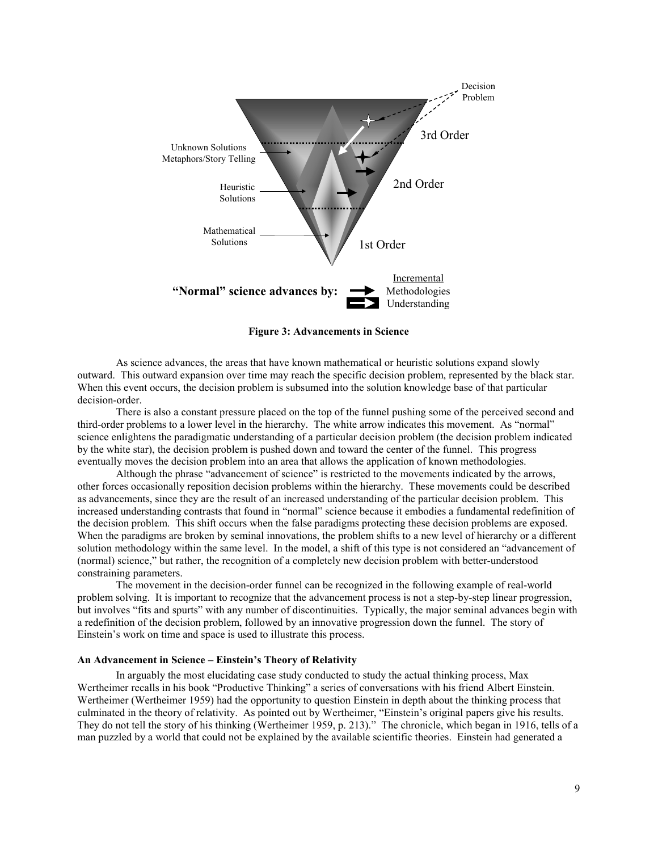

**Figure 3: Advancements in Science** 

As science advances, the areas that have known mathematical or heuristic solutions expand slowly outward. This outward expansion over time may reach the specific decision problem, represented by the black star. When this event occurs, the decision problem is subsumed into the solution knowledge base of that particular decision-order.

There is also a constant pressure placed on the top of the funnel pushing some of the perceived second and third-order problems to a lower level in the hierarchy. The white arrow indicates this movement. As "normal" science enlightens the paradigmatic understanding of a particular decision problem (the decision problem indicated by the white star), the decision problem is pushed down and toward the center of the funnel. This progress eventually moves the decision problem into an area that allows the application of known methodologies.

Although the phrase "advancement of science" is restricted to the movements indicated by the arrows, other forces occasionally reposition decision problems within the hierarchy. These movements could be described as advancements, since they are the result of an increased understanding of the particular decision problem. This increased understanding contrasts that found in "normal" science because it embodies a fundamental redefinition of the decision problem. This shift occurs when the false paradigms protecting these decision problems are exposed. When the paradigms are broken by seminal innovations, the problem shifts to a new level of hierarchy or a different solution methodology within the same level. In the model, a shift of this type is not considered an "advancement of (normal) science," but rather, the recognition of a completely new decision problem with better-understood constraining parameters.

The movement in the decision-order funnel can be recognized in the following example of real-world problem solving. It is important to recognize that the advancement process is not a step-by-step linear progression, but involves "fits and spurts" with any number of discontinuities. Typically, the major seminal advances begin with a redefinition of the decision problem, followed by an innovative progression down the funnel. The story of Einstein's work on time and space is used to illustrate this process.

#### **An Advancement in Science – Einstein's Theory of Relativity**

In arguably the most elucidating case study conducted to study the actual thinking process, Max Wertheimer recalls in his book "Productive Thinking" a series of conversations with his friend Albert Einstein. Wertheimer (Wertheimer 1959) had the opportunity to question Einstein in depth about the thinking process that culminated in the theory of relativity. As pointed out by Wertheimer, "Einstein's original papers give his results. They do not tell the story of his thinking (Wertheimer 1959, p. 213)." The chronicle, which began in 1916, tells of a man puzzled by a world that could not be explained by the available scientific theories. Einstein had generated a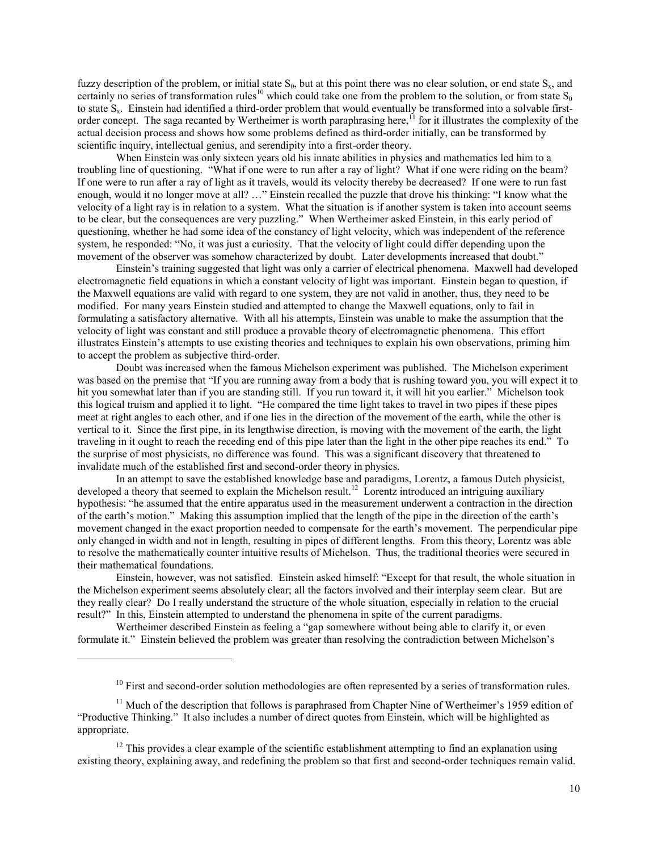fuzzy description of the problem, or initial state  $S_0$ , but at this point there was no clear solution, or end state  $S_x$ , and certainly no series of transformation rules<sup>10</sup> which could take one from the problem to the solution, or from state  $S_0$ to state  $S_x$ . Einstein had identified a third-order problem that would eventually be transformed into a solvable firstorder concept. The saga recanted by Wertheimer is worth paraphrasing here, $^{11}$  for it illustrates the complexity of the actual decision process and shows how some problems defined as third-order initially, can be transformed by scientific inquiry, intellectual genius, and serendipity into a first-order theory.

When Einstein was only sixteen years old his innate abilities in physics and mathematics led him to a troubling line of questioning. "What if one were to run after a ray of light? What if one were riding on the beam? If one were to run after a ray of light as it travels, would its velocity thereby be decreased? If one were to run fast enough, would it no longer move at all? …" Einstein recalled the puzzle that drove his thinking: "I know what the velocity of a light ray is in relation to a system. What the situation is if another system is taken into account seems to be clear, but the consequences are very puzzling." When Wertheimer asked Einstein, in this early period of questioning, whether he had some idea of the constancy of light velocity, which was independent of the reference system, he responded: "No, it was just a curiosity. That the velocity of light could differ depending upon the movement of the observer was somehow characterized by doubt. Later developments increased that doubt."

Einstein's training suggested that light was only a carrier of electrical phenomena. Maxwell had developed electromagnetic field equations in which a constant velocity of light was important. Einstein began to question, if the Maxwell equations are valid with regard to one system, they are not valid in another, thus, they need to be modified. For many years Einstein studied and attempted to change the Maxwell equations, only to fail in formulating a satisfactory alternative. With all his attempts, Einstein was unable to make the assumption that the velocity of light was constant and still produce a provable theory of electromagnetic phenomena. This effort illustrates Einstein's attempts to use existing theories and techniques to explain his own observations, priming him to accept the problem as subjective third-order.

Doubt was increased when the famous Michelson experiment was published. The Michelson experiment was based on the premise that "If you are running away from a body that is rushing toward you, you will expect it to hit you somewhat later than if you are standing still. If you run toward it, it will hit you earlier." Michelson took this logical truism and applied it to light. "He compared the time light takes to travel in two pipes if these pipes meet at right angles to each other, and if one lies in the direction of the movement of the earth, while the other is vertical to it. Since the first pipe, in its lengthwise direction, is moving with the movement of the earth, the light traveling in it ought to reach the receding end of this pipe later than the light in the other pipe reaches its end." To the surprise of most physicists, no difference was found. This was a significant discovery that threatened to invalidate much of the established first and second-order theory in physics.

In an attempt to save the established knowledge base and paradigms, Lorentz, a famous Dutch physicist, developed a theory that seemed to explain the Michelson result.<sup>12</sup> Lorentz introduced an intriguing auxiliary hypothesis: "he assumed that the entire apparatus used in the measurement underwent a contraction in the direction of the earth's motion." Making this assumption implied that the length of the pipe in the direction of the earth's movement changed in the exact proportion needed to compensate for the earth's movement. The perpendicular pipe only changed in width and not in length, resulting in pipes of different lengths. From this theory, Lorentz was able to resolve the mathematically counter intuitive results of Michelson. Thus, the traditional theories were secured in their mathematical foundations.

Einstein, however, was not satisfied. Einstein asked himself: "Except for that result, the whole situation in the Michelson experiment seems absolutely clear; all the factors involved and their interplay seem clear. But are they really clear? Do I really understand the structure of the whole situation, especially in relation to the crucial result?" In this, Einstein attempted to understand the phenomena in spite of the current paradigms.

Wertheimer described Einstein as feeling a "gap somewhere without being able to clarify it, or even formulate it." Einstein believed the problem was greater than resolving the contradiction between Michelson's

 $10$  First and second-order solution methodologies are often represented by a series of transformation rules.

 $11$  Much of the description that follows is paraphrased from Chapter Nine of Wertheimer's 1959 edition of "Productive Thinking." It also includes a number of direct quotes from Einstein, which will be highlighted as appropriate.

 $12$  This provides a clear example of the scientific establishment attempting to find an explanation using existing theory, explaining away, and redefining the problem so that first and second-order techniques remain valid.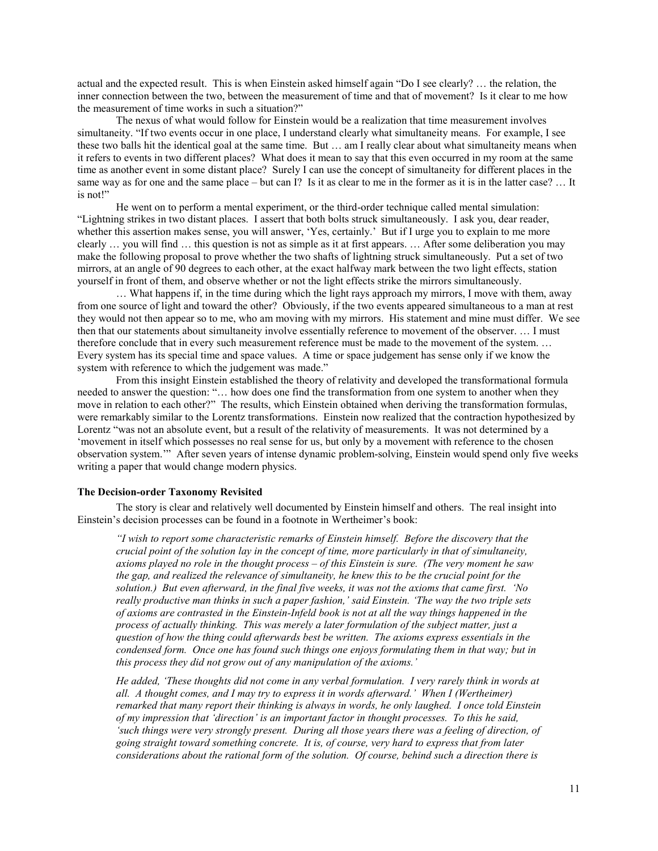actual and the expected result. This is when Einstein asked himself again "Do I see clearly? … the relation, the inner connection between the two, between the measurement of time and that of movement? Is it clear to me how the measurement of time works in such a situation?"

The nexus of what would follow for Einstein would be a realization that time measurement involves simultaneity. "If two events occur in one place, I understand clearly what simultaneity means. For example, I see these two balls hit the identical goal at the same time. But … am I really clear about what simultaneity means when it refers to events in two different places? What does it mean to say that this even occurred in my room at the same time as another event in some distant place? Surely I can use the concept of simultaneity for different places in the same way as for one and the same place – but can I? Is it as clear to me in the former as it is in the latter case? … It is not!"

He went on to perform a mental experiment, or the third-order technique called mental simulation: "Lightning strikes in two distant places. I assert that both bolts struck simultaneously. I ask you, dear reader, whether this assertion makes sense, you will answer, 'Yes, certainly.' But if I urge you to explain to me more clearly … you will find … this question is not as simple as it at first appears. … After some deliberation you may make the following proposal to prove whether the two shafts of lightning struck simultaneously. Put a set of two mirrors, at an angle of 90 degrees to each other, at the exact halfway mark between the two light effects, station yourself in front of them, and observe whether or not the light effects strike the mirrors simultaneously.

… What happens if, in the time during which the light rays approach my mirrors, I move with them, away from one source of light and toward the other? Obviously, if the two events appeared simultaneous to a man at rest they would not then appear so to me, who am moving with my mirrors. His statement and mine must differ. We see then that our statements about simultaneity involve essentially reference to movement of the observer. … I must therefore conclude that in every such measurement reference must be made to the movement of the system. … Every system has its special time and space values. A time or space judgement has sense only if we know the system with reference to which the judgement was made."

From this insight Einstein established the theory of relativity and developed the transformational formula needed to answer the question: "… how does one find the transformation from one system to another when they move in relation to each other?" The results, which Einstein obtained when deriving the transformation formulas, were remarkably similar to the Lorentz transformations. Einstein now realized that the contraction hypothesized by Lorentz "was not an absolute event, but a result of the relativity of measurements. It was not determined by a 'movement in itself which possesses no real sense for us, but only by a movement with reference to the chosen observation system.'" After seven years of intense dynamic problem-solving, Einstein would spend only five weeks writing a paper that would change modern physics.

#### **The Decision-order Taxonomy Revisited**

The story is clear and relatively well documented by Einstein himself and others. The real insight into Einstein's decision processes can be found in a footnote in Wertheimer's book:

*"I wish to report some characteristic remarks of Einstein himself. Before the discovery that the crucial point of the solution lay in the concept of time, more particularly in that of simultaneity, axioms played no role in the thought process – of this Einstein is sure. (The very moment he saw the gap, and realized the relevance of simultaneity, he knew this to be the crucial point for the solution.) But even afterward, in the final five weeks, it was not the axioms that came first. 'No really productive man thinks in such a paper fashion,' said Einstein. 'The way the two triple sets of axioms are contrasted in the Einstein-Infeld book is not at all the way things happened in the process of actually thinking. This was merely a later formulation of the subject matter, just a question of how the thing could afterwards best be written. The axioms express essentials in the condensed form. Once one has found such things one enjoys formulating them in that way; but in this process they did not grow out of any manipulation of the axioms.'* 

*He added, 'These thoughts did not come in any verbal formulation. I very rarely think in words at all. A thought comes, and I may try to express it in words afterward.' When I (Wertheimer) remarked that many report their thinking is always in words, he only laughed. I once told Einstein of my impression that 'direction' is an important factor in thought processes. To this he said, 'such things were very strongly present. During all those years there was a feeling of direction, of going straight toward something concrete. It is, of course, very hard to express that from later considerations about the rational form of the solution. Of course, behind such a direction there is*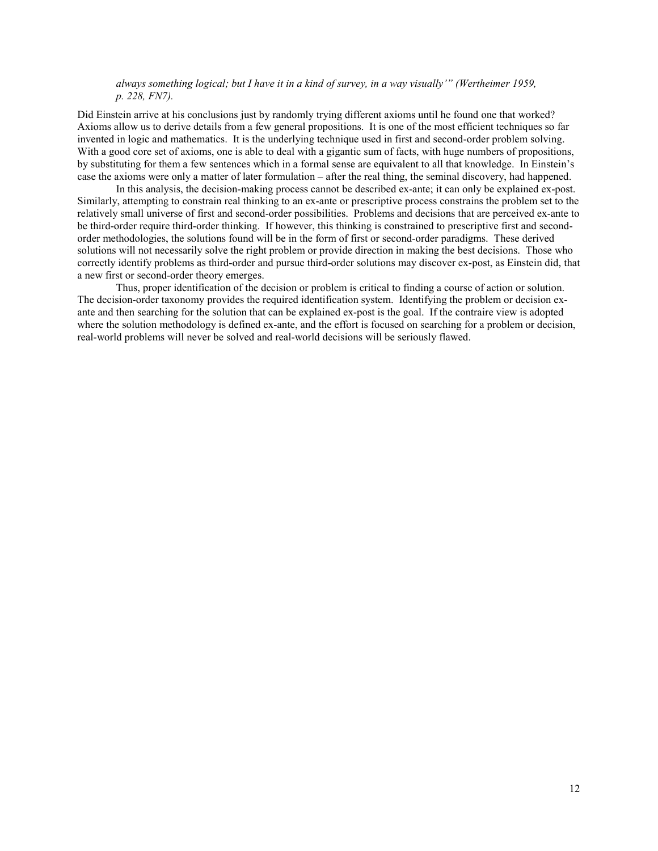*always something logical; but I have it in a kind of survey, in a way visually'" (Wertheimer 1959, p. 228, FN7).* 

Did Einstein arrive at his conclusions just by randomly trying different axioms until he found one that worked? Axioms allow us to derive details from a few general propositions. It is one of the most efficient techniques so far invented in logic and mathematics. It is the underlying technique used in first and second-order problem solving. With a good core set of axioms, one is able to deal with a gigantic sum of facts, with huge numbers of propositions, by substituting for them a few sentences which in a formal sense are equivalent to all that knowledge. In Einstein's case the axioms were only a matter of later formulation – after the real thing, the seminal discovery, had happened.

In this analysis, the decision-making process cannot be described ex-ante; it can only be explained ex-post. Similarly, attempting to constrain real thinking to an ex-ante or prescriptive process constrains the problem set to the relatively small universe of first and second-order possibilities. Problems and decisions that are perceived ex-ante to be third-order require third-order thinking. If however, this thinking is constrained to prescriptive first and secondorder methodologies, the solutions found will be in the form of first or second-order paradigms. These derived solutions will not necessarily solve the right problem or provide direction in making the best decisions. Those who correctly identify problems as third-order and pursue third-order solutions may discover ex-post, as Einstein did, that a new first or second-order theory emerges.

Thus, proper identification of the decision or problem is critical to finding a course of action or solution. The decision-order taxonomy provides the required identification system. Identifying the problem or decision exante and then searching for the solution that can be explained ex-post is the goal. If the contraire view is adopted where the solution methodology is defined ex-ante, and the effort is focused on searching for a problem or decision, real-world problems will never be solved and real-world decisions will be seriously flawed.